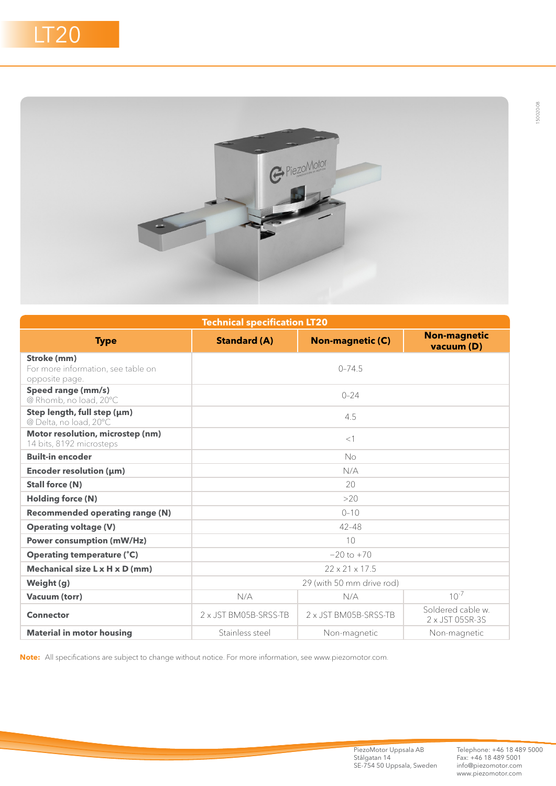

| <b>Technical specification LT20</b>                                 |                            |                         |                                      |  |
|---------------------------------------------------------------------|----------------------------|-------------------------|--------------------------------------|--|
| <b>Type</b>                                                         | <b>Standard (A)</b>        | <b>Non-magnetic (C)</b> | <b>Non-magnetic</b><br>vacuum (D)    |  |
| Stroke (mm)<br>For more information, see table on<br>opposite page. | $0 - 74.5$                 |                         |                                      |  |
| Speed range (mm/s)<br>@ Rhomb, no load, 20°C                        | $0 - 24$                   |                         |                                      |  |
| Step length, full step (µm)<br>@ Delta, no load, 20°C               | 4.5                        |                         |                                      |  |
| Motor resolution, microstep (nm)<br>14 bits, 8192 microsteps        | $<$ 1                      |                         |                                      |  |
| <b>Built-in encoder</b>                                             | No                         |                         |                                      |  |
| Encoder resolution (µm)                                             | N/A                        |                         |                                      |  |
| <b>Stall force (N)</b>                                              | 20                         |                         |                                      |  |
| <b>Holding force (N)</b>                                            | >20                        |                         |                                      |  |
| <b>Recommended operating range (N)</b>                              | $0 - 10$                   |                         |                                      |  |
| <b>Operating voltage (V)</b>                                        | $42 - 48$                  |                         |                                      |  |
| <b>Power consumption (mW/Hz)</b>                                    | 10                         |                         |                                      |  |
| <b>Operating temperature (°C)</b>                                   | $-20$ to $+70$             |                         |                                      |  |
| Mechanical size L x H x D (mm)                                      | $22 \times 21 \times 17.5$ |                         |                                      |  |
| Weight (g)                                                          | 29 (with 50 mm drive rod)  |                         |                                      |  |
| <b>Vacuum (torr)</b>                                                | N/A                        | N/A                     | $10^{-7}$                            |  |
| <b>Connector</b>                                                    | 2 x JST BM05B-SRSS-TB      | 2 x JST BM05B-SRSS-TB   | Soldered cable w.<br>2 x JST 05SR-3S |  |
| <b>Material in motor housing</b>                                    | Stainless steel            | Non-magnetic            | Non-magnetic                         |  |

**Note:** All specifications are subject to change without notice. For more information, see www.piezomotor.com.